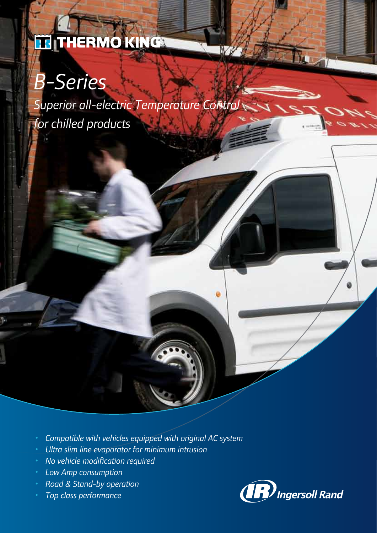## THERMO KING

# *B-Series*

*Superior all-electric Temperature Control for chilled products*

- *• Compatible with vehicles equipped with original AC system*
- *• Ultra slim line evaporator for minimum intrusion*
- *• No vehicle modification required*
- *• Low Amp consumption*
- *• Road & Stand-by operation*
- *• Top class performance*

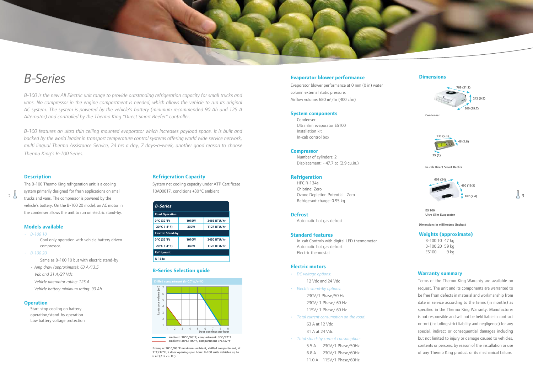| <b>B-Series</b>                   |              |             |  |  |
|-----------------------------------|--------------|-------------|--|--|
| <b>Road Operation</b>             |              |             |  |  |
| 0°C (32°F)                        | <b>1015W</b> | 3466 BTU/hr |  |  |
| $-20^{\circ}$ C ( $-4^{\circ}$ F) | 330W         | 1127 BTU/hr |  |  |
| <b>Electric Stand-by</b>          |              |             |  |  |
| $0^{\circ}$ C (32 $^{\circ}$ F)   | <b>1010W</b> | 3450 BTU/hr |  |  |
| $-20^{\circ}$ C (-4 $^{\circ}$ F) | 345W         | 1178 BTU/hr |  |  |
| Refrigerant                       |              |             |  |  |
| R-134a                            |              |             |  |  |

#### **Warranty summary**

Terms of the Thermo King Warranty are available on request. The unit and its components are warranted to be free from defects in material and workmanship from date in service according to the terms (in months) as specified in the Thermo King Warranty. Manufacturer is not responsible and will not be held liable in contract or tort (including strict liability and negligence) for any special, indirect or consequential damages including but not limited to injury or damage caused to vehicles, contents or persons, by reason of the installation or use of any Thermo King product or its mechanical failure.

*B-100 is the new All Electric unit range to provide outstanding refrigeration capacity for small trucks and vans. No compressor in the engine compartment is needed, which allows the vehicle to run its original AC system. The system is powered by the vehicle's battery (minimum recommended 90 Ah and 125 A Alternator) and controlled by the Thermo King "Direct Smart Reefer" controller.* 

*B-100 features an ultra thin ceiling mounted evaporator which increases payload space. It is built and backed by the world leader in transport temperature control systems offering world wide service network, multi lingual Thermo Assistance Service, 24 hrs a day, 7 days-a-week, another good reason to choose Thermo King's B-100 Series.*

**Condenser** • Ultra slim evaporator ES100 • Installation kit • In-cab control box



## *B-Series*

#### **Refrigeration Capacity**

System net cooling capacity under ATP Certificate 10A00017, conditions +30°C ambient

#### **B-Series Selection guide**



• B-100 10 47 kg • B-100 20 59 kg ES100 9 kg

**Example: 30°C/86°F maximum ambient, chilled compartment, at 3°C/37°F, 5 door openings per hour: B-100 suits vehicles up to 6 m 3 (212 cu. ft.).**

#### **Description**

 $\overline{2}$ 

The B-100 Thermo King refrigeration unit is a cooling system primarily designed for fresh applications on small trucks and vans. The compressor is powered by the vehicle's battery. On the B-100 20 model, an AC motor in the condenser allows the unit to run on electric stand-by.

3

#### **Models available**



- *• B-100 10* Cool only operation with vehicle battery driven compressor.
- *• B-100 20*
	- Same as B-100 10 but with electric stand-by
	- *- Amp draw (approximate): 63 A/13.5 Vdc and 31 A/27 Vdc*
	- *- Vehicle alternator rating: 125 A*
	- *- Vehicle battery minimum rating: 90 Ah*

#### **Operation**

Start-stop cooling on battery operation/stand-by operation Low battery voltage protection **Dimensions in millimetres (inches)**

### **Evaporator blower performance**

Evaporator blower performance at 0 mm (0 in) water column external static pressure: Airflow volume: 680 m 3 /hr (400 cfm)

#### **System components**

#### **Compressor**

• Number of cylinders: 2 • Displacement: - 47.7 cc (2.9 cu.in.)

#### **Refrigeration**

• HFC R-134a • Chlorine: Zero • Ozone Depletion Potential: Zero • Refrigerant charge: 0.95 kg

#### **Defrost**

Automatic hot gas defrost

#### **Standard features**

• In-cab Controls with digital LED thermometer • Automatic hot gas defrost • Electric thermostat

#### **Electric motors**

*• DC voltage options:*

12 Vdc and 24 Vdc

- *• Electric stand-by options:* 230V/1 Phase/50 Hz 230V/ 1 Phase/ 60 Hz 115V/ 1 Phase/ 60 Hz
- *• Total current consumption on the road:*

63 A at 12 Vdc 31 A at 24 Vdc

- *• Total stand-by current consumption:*
	- 5.5 A 230V/1 Phase/50Hz

6.8 A 230V/1 Phase/60Hz

11.0 A 115V/1 Phase/60Hz

#### **Weights (approximate)**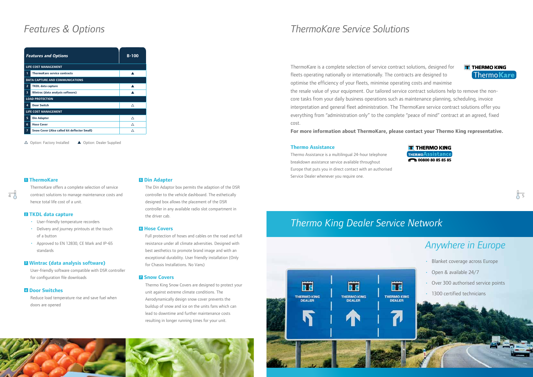



ThermoKare offers a complete selection of service hence total life cost of a unit.

#### **2 TKDL data capture**

- *•* User-friendly temperature recorders
- *•* Delivery and journey printouts at the touch of a button
- *•* Approved to EN 12830, CE Mark and IP-65 standards

#### **3 Wintrac (data analysis software)**

 $\overline{4}$  contract solutions to manage maintenance costs and controller to the vehicle dashboard. The esthetically The Din Adaptor box permits the adaption of the DSR controller to the vehicle dashboard. The esthetically designed box allows the placement of the DSR controller in any available radio slot compartment in the driver cab.

User-friendly software compatible with DSR controller for configuration file downloads

#### **4 Door Switches**

Reduce load temperature rise and save fuel when doors are opened

#### **5 Din Adapter**

#### **6 Hose Covers**

Full protection of hoses and cables on the road and full resistance under all climate adversities. Designed with best aesthetics to promote brand image and with an exceptional durability. User friendly installation (Only for Chassis Installations. No Vans)

#### **Z** Snow Covers

Thermo King Snow Covers are designed to protect your unit against extreme climate conditions. The Aerodynamically design snow cover prevents the buildup of snow and ice on the units fans which can lead to downtime and further maintenance costs resulting in longer running times for your unit.

### *Features & Options*

| <b>Features and Options</b>            |                                                     | $B-100$ |  |
|----------------------------------------|-----------------------------------------------------|---------|--|
| <b>LIFE COST MANAGEMENT</b>            |                                                     |         |  |
| 1                                      | <b>ThermoKare service contracts</b>                 |         |  |
| <b>DATA CAPTURE AND COMMUNICATIONS</b> |                                                     |         |  |
| $\overline{2}$                         | <b>TKDL</b> data capture                            |         |  |
| 3                                      | Wintrac (data analysis software)                    |         |  |
| <b>LOAD PROTECTION</b>                 |                                                     |         |  |
| 4                                      | <b>Door Switch</b>                                  | Δ       |  |
| <b>LIFE COST MANAGEMENT</b>            |                                                     |         |  |
| 5                                      | <b>Din Adapter</b>                                  | ∧       |  |
| 6                                      | <b>Hose Cover</b>                                   | Δ       |  |
| $\overline{7}$                         | <b>Snow Cover (Also called kit deflector Small)</b> | ↗       |  |

 $\Delta$  Option: Factory Installed  $\Delta$  Option: Dealer Supplied

#### **11 ThermoKare**

### *Thermo King Dealer Service Network*







- 
- 
- 
- 

### *Anywhere in Europe*

- *•* Blanket coverage across Europe
- *•* Open & available 24/7
- *•* Over 300 authorised service points
- *•* 1300 certified technicians

### *ThermoKare Service Solutions*

ThermoKare is a complete selection of service contract solutions, designed for fleets operating nationally or internationally. The contracts are designed to optimise the efficiency of your fleets, minimise operating costs and maximise the resale value of your equipment. Our tailored service contract solutions help to remove the noncore tasks from your daily business operations such as maintenance planning, scheduling, invoice interpretation and general fleet administration. The ThermoKare service contract solutions offer you everything from "administration only" to the complete "peace of mind" contract at an agreed, fixed cost.

**For more information about ThermoKare, please contact your Thermo King representative.**

#### **Thermo Assistance**

Thermo Assistance is a multilingual 24-hour telephone breakdown assistance service available throughout Europe that puts you in direct contact with an authorised Service Dealer whenever you require one.